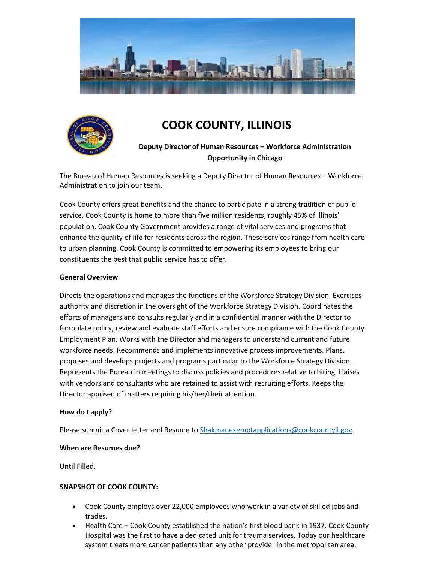



# **COOK COUNTY, ILLINOIS**

# **Deputy Director of Human Resources – Workforce Administration Opportunity in Chicago**

The Bureau of Human Resources is seeking a Deputy Director of Human Resources – Workforce Administration to join our team.

Cook County offers great benefits and the chance to participate in a strong tradition of public service. Cook County is home to more than five million residents, roughly 45% of Illinois' population. Cook County Government provides a range of vital services and programs that enhance the quality of life for residents across the region. These services range from health care to urban planning. Cook County is committed to empowering its employees to bring our constituents the best that public service has to offer.

### **General Overview**

Directs the operations and manages the functions of the Workforce Strategy Division. Exercises authority and discretion in the oversight of the Workforce Strategy Division. Coordinates the efforts of managers and consults regularly and in a confidential manner with the Director to formulate policy, review and evaluate staff efforts and ensure compliance with the Cook County Employment Plan. Works with the Director and managers to understand current and future workforce needs. Recommends and implements innovative process improvements. Plans, proposes and develops projects and programs particular to the Workforce Strategy Division. Represents the Bureau in meetings to discuss policies and procedures relative to hiring. Liaises with vendors and consultants who are retained to assist with recruiting efforts. Keeps the Director apprised of matters requiring his/her/their attention.

### **How do I apply?**

Please submit a Cover letter and Resume to [Shakmanexemptapplications@cookcountyil.gov.](mailto:Shakmanexemptapplications@cookcountyil.gov)

### **When are Resumes due?**

Until Filled.

### **SNAPSHOT OF COOK COUNTY:**

- Cook County employs over 22,000 employees who work in a variety of skilled jobs and trades.
- Health Care Cook County established the nation's first blood bank in 1937. Cook County Hospital was the first to have a dedicated unit for trauma services. Today our healthcare system treats more cancer patients than any other provider in the metropolitan area.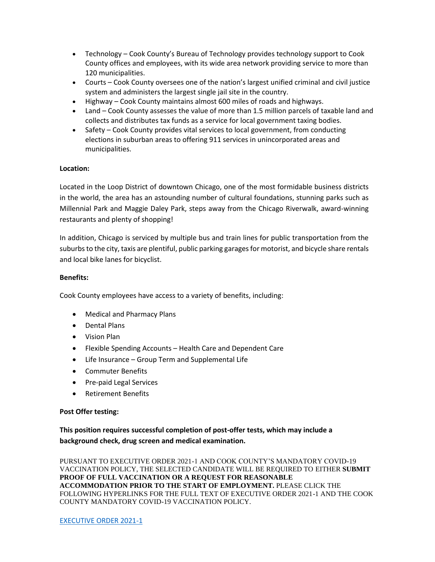- Technology Cook County's Bureau of Technology provides technology support to Cook County offices and employees, with its wide area network providing service to more than 120 municipalities.
- Courts Cook County oversees one of the nation's largest unified criminal and civil justice system and administers the largest single jail site in the country.
- Highway Cook County maintains almost 600 miles of roads and highways.
- Land Cook County assesses the value of more than 1.5 million parcels of taxable land and collects and distributes tax funds as a service for local government taxing bodies.
- Safety Cook County provides vital services to local government, from conducting elections in suburban areas to offering 911 services in unincorporated areas and municipalities.

### **Location:**

Located in the Loop District of downtown Chicago, one of the most formidable business districts in the world, the area has an astounding number of cultural foundations, stunning parks such as Millennial Park and Maggie Daley Park, steps away from the Chicago Riverwalk, award-winning restaurants and plenty of shopping!

In addition, Chicago is serviced by multiple bus and train lines for public transportation from the suburbs to the city, taxis are plentiful, public parking garages for motorist, and bicycle share rentals and local bike lanes for bicyclist.

### **Benefits:**

Cook County employees have access to a variety of benefits, including:

- Medical and Pharmacy Plans
- Dental Plans
- Vision Plan
- Flexible Spending Accounts Health Care and Dependent Care
- Life Insurance Group Term and Supplemental Life
- Commuter Benefits
- Pre-paid Legal Services
- Retirement Benefits

### **Post Offer testing:**

**This position requires successful completion of post-offer tests, which may include a background check, drug screen and medical examination.**

PURSUANT TO EXECUTIVE ORDER 2021-1 AND COOK COUNTY'S MANDATORY COVID-19 VACCINATION POLICY, THE SELECTED CANDIDATE WILL BE REQUIRED TO EITHER **SUBMIT PROOF OF FULL VACCINATION OR A REQUEST FOR REASONABLE ACCOMMODATION PRIOR TO THE START OF EMPLOYMENT.** PLEASE CLICK THE FOLLOWING HYPERLINKS FOR THE FULL TEXT OF EXECUTIVE ORDER 2021-1 AND THE COOK COUNTY MANDATORY COVID-19 VACCINATION POLICY.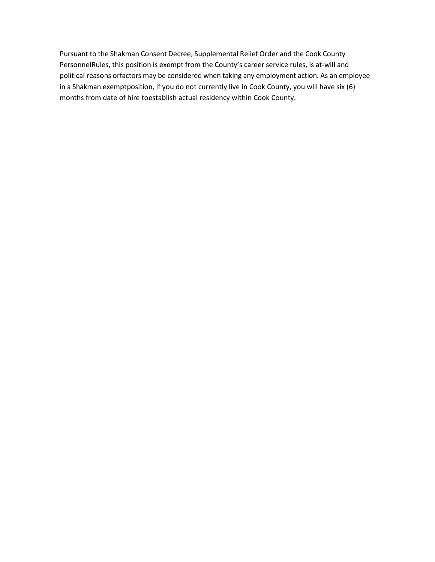Pursuant to the Shakman Consent Decree, Supplemental Relief Order and the Cook County PersonnelRules, this position is exempt from the County's career service rules, is at-will and political reasons orfactors may be considered when taking any employment action. As an employee in a Shakman exemptposition, if you do not currently live in Cook County, you will have six (6) months from date of hire toestablish actual residency within Cook County.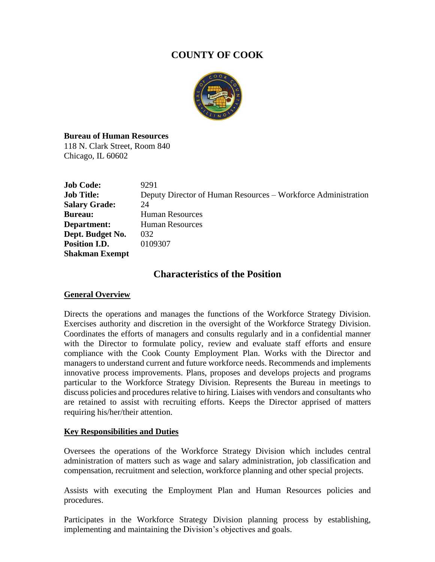# **COUNTY OF COOK**



**Bureau of Human Resources** 118 N. Clark Street, Room 840 Chicago, IL 60602

| <b>Job Code:</b>      | 9291                                                          |
|-----------------------|---------------------------------------------------------------|
| <b>Job Title:</b>     | Deputy Director of Human Resources – Workforce Administration |
| <b>Salary Grade:</b>  | 24                                                            |
| <b>Bureau:</b>        | <b>Human Resources</b>                                        |
| Department:           | <b>Human Resources</b>                                        |
| Dept. Budget No.      | 032                                                           |
| Position I.D.         | 0109307                                                       |
| <b>Shakman Exempt</b> |                                                               |

# **Characteristics of the Position**

# **General Overview**

Directs the operations and manages the functions of the Workforce Strategy Division. Exercises authority and discretion in the oversight of the Workforce Strategy Division. Coordinates the efforts of managers and consults regularly and in a confidential manner with the Director to formulate policy, review and evaluate staff efforts and ensure compliance with the Cook County Employment Plan. Works with the Director and managers to understand current and future workforce needs. Recommends and implements innovative process improvements. Plans, proposes and develops projects and programs particular to the Workforce Strategy Division. Represents the Bureau in meetings to discuss policies and procedures relative to hiring. Liaises with vendors and consultants who are retained to assist with recruiting efforts. Keeps the Director apprised of matters requiring his/her/their attention.

# **Key Responsibilities and Duties**

Oversees the operations of the Workforce Strategy Division which includes central administration of matters such as wage and salary administration, job classification and compensation, recruitment and selection, workforce planning and other special projects.

Assists with executing the Employment Plan and Human Resources policies and procedures.

Participates in the Workforce Strategy Division planning process by establishing, implementing and maintaining the Division's objectives and goals.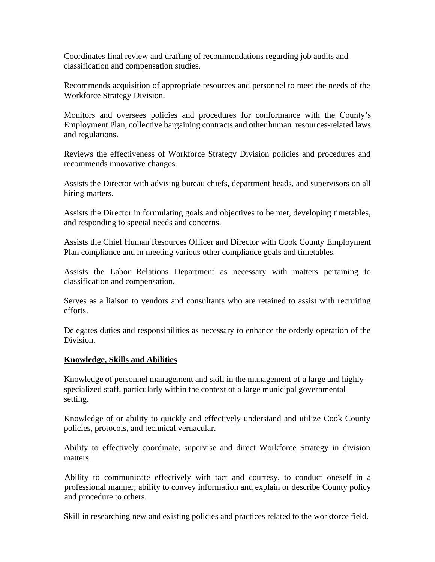Coordinates final review and drafting of recommendations regarding job audits and classification and compensation studies.

Recommends acquisition of appropriate resources and personnel to meet the needs of the Workforce Strategy Division.

Monitors and oversees policies and procedures for conformance with the County's Employment Plan, collective bargaining contracts and other human resources-related laws and regulations.

Reviews the effectiveness of Workforce Strategy Division policies and procedures and recommends innovative changes.

Assists the Director with advising bureau chiefs, department heads, and supervisors on all hiring matters.

Assists the Director in formulating goals and objectives to be met, developing timetables, and responding to special needs and concerns.

Assists the Chief Human Resources Officer and Director with Cook County Employment Plan compliance and in meeting various other compliance goals and timetables.

Assists the Labor Relations Department as necessary with matters pertaining to classification and compensation.

Serves as a liaison to vendors and consultants who are retained to assist with recruiting efforts.

Delegates duties and responsibilities as necessary to enhance the orderly operation of the Division.

## **Knowledge, Skills and Abilities**

Knowledge of personnel management and skill in the management of a large and highly specialized staff, particularly within the context of a large municipal governmental setting.

Knowledge of or ability to quickly and effectively understand and utilize Cook County policies, protocols, and technical vernacular.

Ability to effectively coordinate, supervise and direct Workforce Strategy in division matters.

Ability to communicate effectively with tact and courtesy, to conduct oneself in a professional manner; ability to convey information and explain or describe County policy and procedure to others.

Skill in researching new and existing policies and practices related to the workforce field.